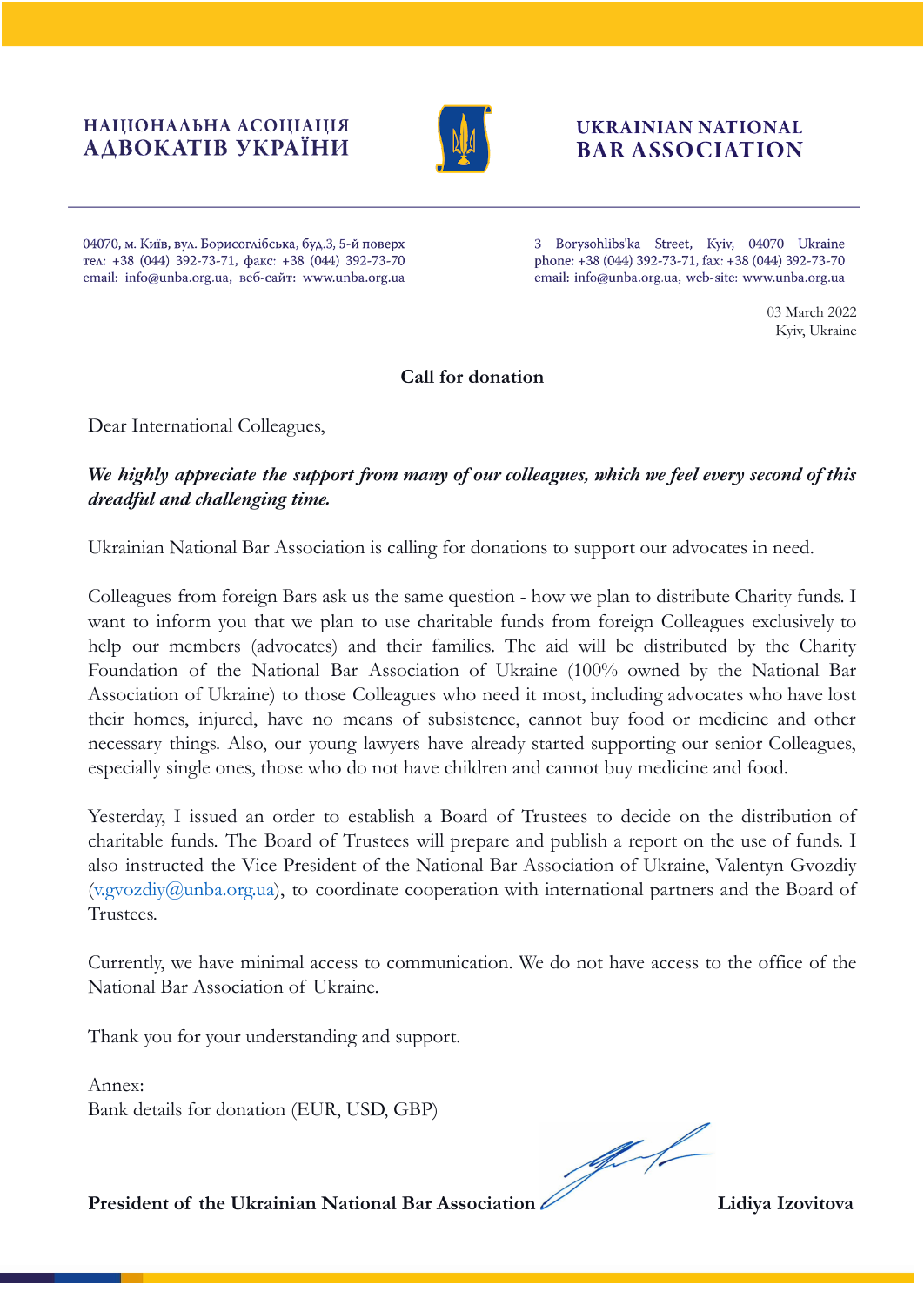### НАЦІОНАЛЬНА АСОЦІАЦІЯ АДВОКАТІВ УКРАЇНИ



# **UKRAINIAN NATIONAL BAR ASSOCIATION**

04070, м. Київ, вул. Борисоглібська, буд.3, 5-й поверх тел: +38 (044) 392-73-71, факс: +38 (044) 392-73-70 email: info@unba.org.ua, веб-сайт: www.unba.org.ua

3 Borysohlibs'ka Street, Kyiv, 04070 Ukraine phone: +38 (044) 392-73-71, fax: +38 (044) 392-73-70 email: info@unba.org.ua, web-site: www.unba.org.ua

> 03 March 2022 Kyiv, Ukraine

## **Call for donation**

Dear International Colleagues,

# *We highly appreciate the support from many of our colleagues, which we feel every second of this dreadful and challenging time.*

Ukrainian National Bar Association is calling for donations to support our advocates in need.

Colleagues from foreign Bars ask us the same question - how we plan to distribute Charity funds. I want to inform you that we plan to use charitable funds from foreign Colleagues exclusively to help our members (advocates) and their families. The aid will be distributed by the Charity Foundation of the National Bar Association of Ukraine (100% owned by the National Bar Association of Ukraine) to those Colleagues who need it most, including advocates who have lost their homes, injured, have no means of subsistence, cannot buy food or medicine and other necessary things. Also, our young lawyers have already started supporting our senior Colleagues, especially single ones, those who do not have children and cannot buy medicine and food.

Yesterday, I issued an order to establish a Board of Trustees to decide on the distribution of charitable funds. The Board of Trustees will prepare and publish a report on the use of funds. I also instructed the Vice President of the National Bar Association of Ukraine, Valentyn Gvozdiy (v.gvozdiy@unba.org.ua), to coordinate cooperation with international partners and the Board of Trustees.

Currently, we have minimal access to communication. We do not have access to the office of the National Bar Association of Ukraine.

Thank you for your understanding and support.

Annex: Bank details for donation (EUR, USD, GBP)

 $\frac{1}{\sqrt{2}}$ 

**President of the Ukrainian National Bar Association Lidiya Izovitova**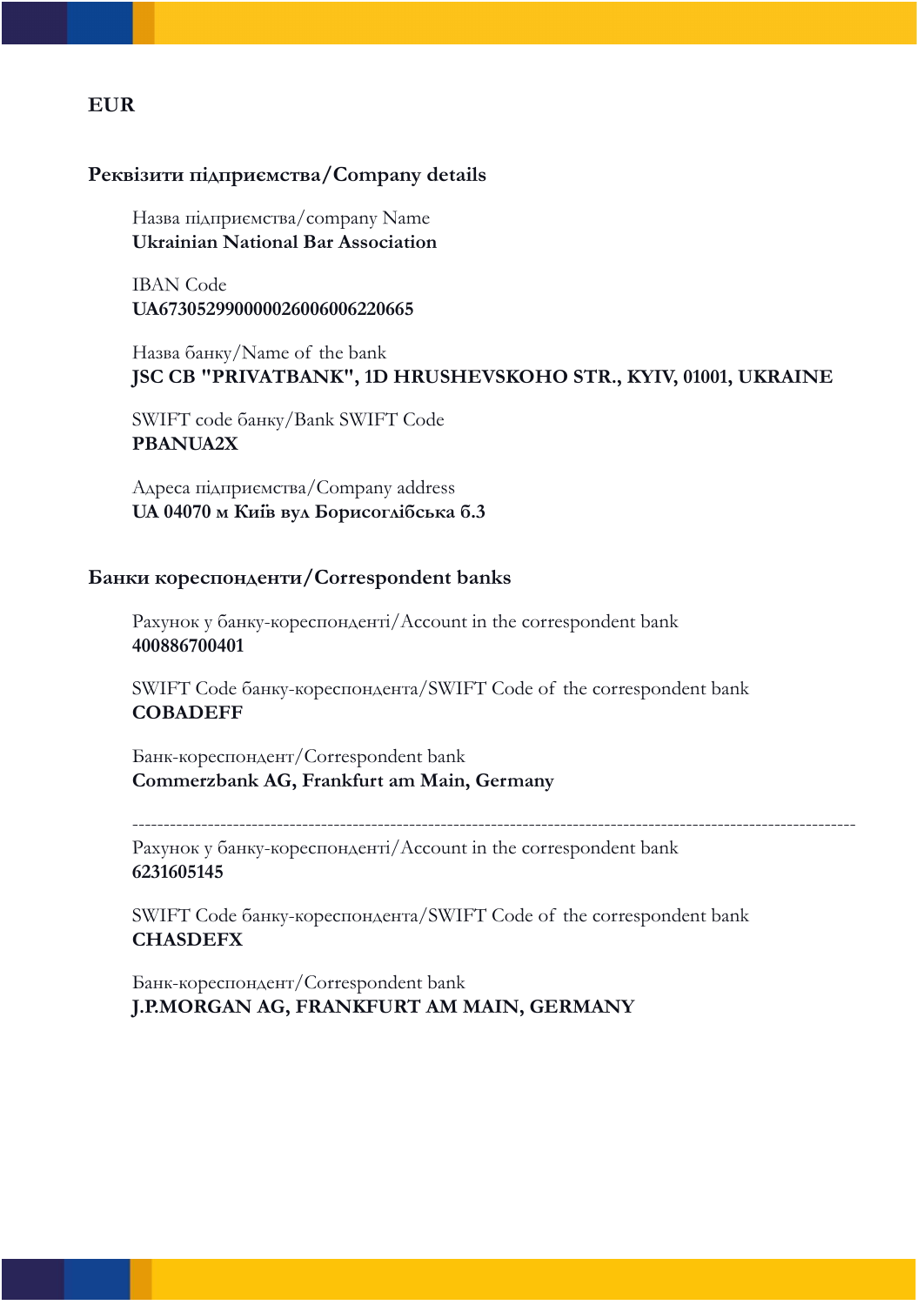# **EUR**

#### **Реквізити підприємства/Company details**

Назва підприємства/company Name **Ukrainian National Bar Association**

IBAN Code **UA673052990000026006006220665**

Назва банку/Name of the bank **JSC CB "PRIVATBANK", 1D HRUSHEVSKOHO STR., KYIV, 01001, UKRAINE**

SWIFT code банку/Bank SWIFT Code **PBANUA2X**

Адреса підприємства/Company address **UA 04070 м Київ вул Борисоглiбська б.3**

#### **Банки кореспонденти/Correspondent banks**

Рахунок у банку-кореспонденті/Account in the correspondent bank **400886700401**

SWIFT Code банку-кореспондента/SWIFT Code of the correspondent bank **COBADEFF**

Банк-кореспондент/Correspondent bank **Commerzbank AG, Frankfurt am Main, Germany**

-------------------------------------------------------------------------------------------------------------------

Рахунок у банку-кореспонденті/Account in the correspondent bank **6231605145**

SWIFT Code банку-кореспондента/SWIFT Code of the correspondent bank **CHASDEFX**

Банк-кореспондент/Correspondent bank **J.P.MORGAN AG, FRANKFURT AM MAIN, GERMANY**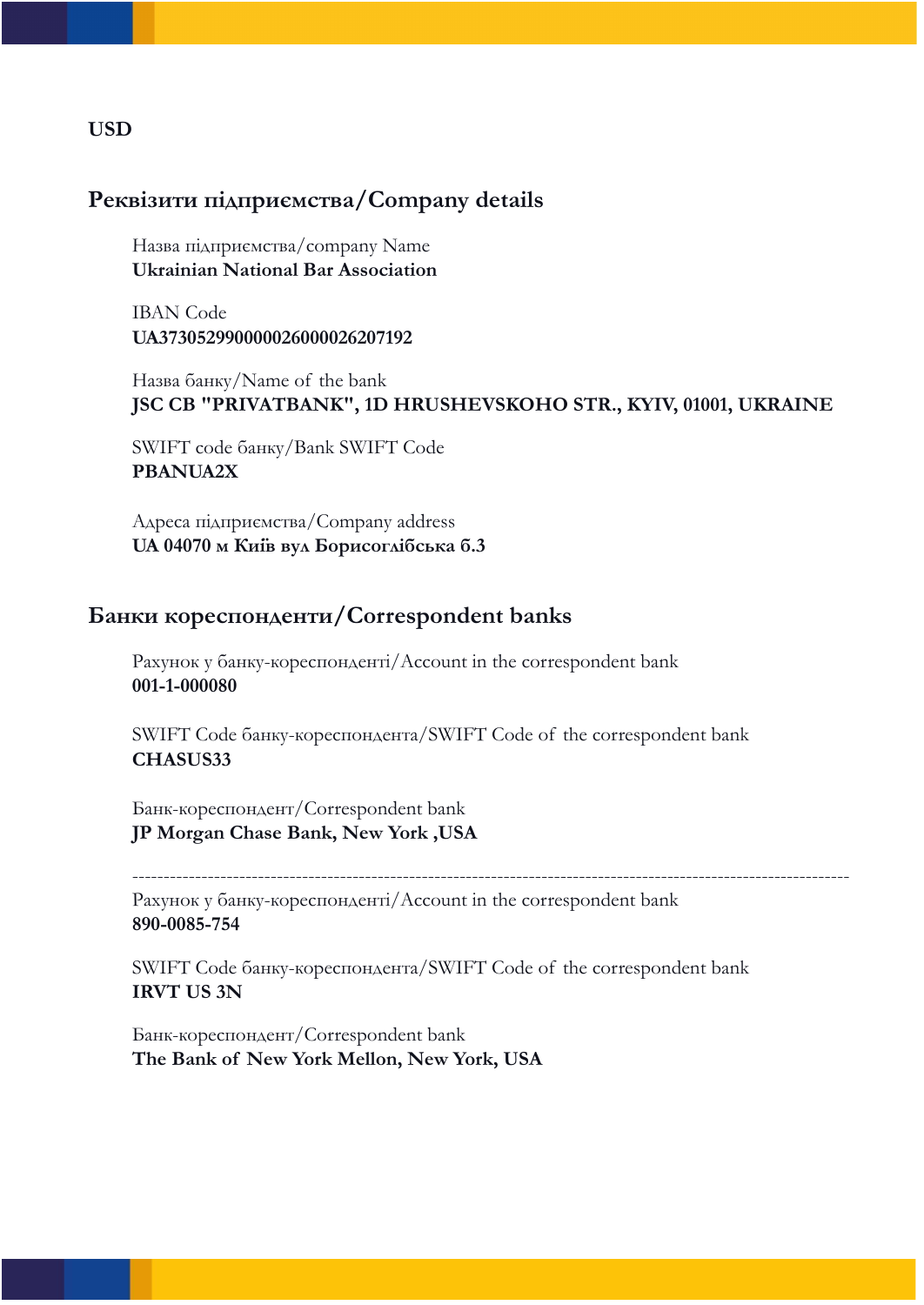#### **USD**

## **Реквізити підприємства/Company details**

Назва підприємства/company Name **Ukrainian National Bar Association**

IBAN Code **UA373052990000026000026207192**

Назва банку/Name of the bank **JSC CB "PRIVATBANK", 1D HRUSHEVSKOHO STR., KYIV, 01001, UKRAINE**

SWIFT code банку/Bank SWIFT Code **PBANUA2X**

Адреса підприємства/Company address **UA 04070 м Київ вул Борисоглiбська б.3**

## **Банки кореспонденти/Correspondent banks**

Рахунок у банку-кореспонденті/Account in the correspondent bank **001-1-000080**

SWIFT Code банку-кореспондента/SWIFT Code of the correspondent bank **CHASUS33**

Банк-кореспондент/Correspondent bank **JP Morgan Chase Bank, New York ,USA**

Рахунок у банку-кореспонденті/Account in the correspondent bank **890-0085-754**

SWIFT Code банку-кореспондента/SWIFT Code of the correspondent bank **IRVT US 3N**

------------------------------------------------------------------------------------------------------------------

Банк-кореспондент/Correspondent bank **The Bank of New York Mellon, New York, USA**